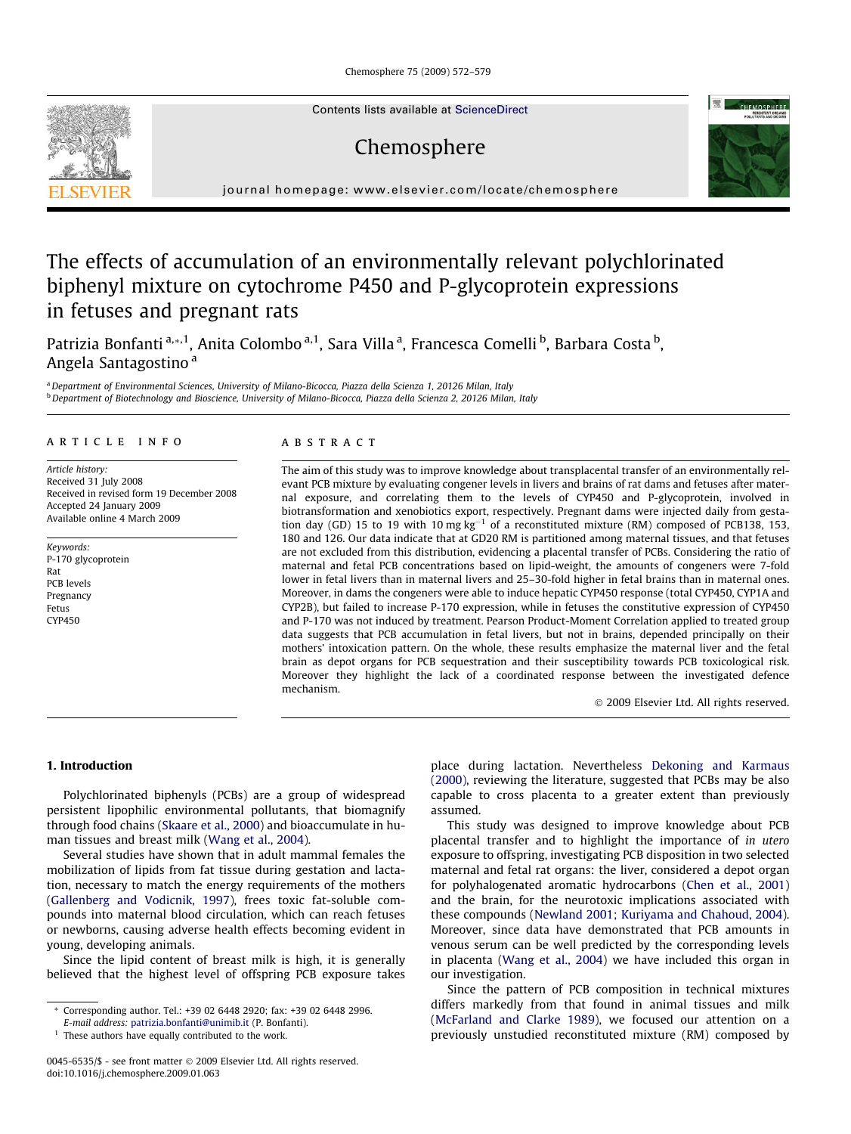Chemosphere 75 (2009) 572–579

Contents lists available at [ScienceDirect](http://www.sciencedirect.com/science/journal/00456535)

# Chemosphere



journal homepage: [www.elsevier.com/locate/chemosphere](http://www.elsevier.com/locate/chemosphere)

## The effects of accumulation of an environmentally relevant polychlorinated biphenyl mixture on cytochrome P450 and P-glycoprotein expressions in fetuses and pregnant rats

Patrizia Bonfanti <sup>a,</sup>\*,<sup>1</sup>, Anita Colombo <sup>a,1</sup>, Sara Villa <sup>a</sup>, Francesca Comelli <sup>b</sup>, Barbara Costa <sup>b</sup>, Angela Santagostino <sup>a</sup>

a Department of Environmental Sciences, University of Milano-Bicocca, Piazza della Scienza 1, 20126 Milan, Italy <sup>b</sup> Department of Biotechnology and Bioscience, University of Milano-Bicocca, Piazza della Scienza 2, 20126 Milan, Italy

## article info

Article history: Received 31 July 2008 Received in revised form 19 December 2008 Accepted 24 January 2009 Available online 4 March 2009

Keywords: P-170 glycoprotein Rat PCB levels Pregnancy Fetus CYP450

## ABSTRACT

The aim of this study was to improve knowledge about transplacental transfer of an environmentally relevant PCB mixture by evaluating congener levels in livers and brains of rat dams and fetuses after maternal exposure, and correlating them to the levels of CYP450 and P-glycoprotein, involved in biotransformation and xenobiotics export, respectively. Pregnant dams were injected daily from gestation day (GD) 15 to 19 with 10 mg  $kg^{-1}$  of a reconstituted mixture (RM) composed of PCB138, 153, 180 and 126. Our data indicate that at GD20 RM is partitioned among maternal tissues, and that fetuses are not excluded from this distribution, evidencing a placental transfer of PCBs. Considering the ratio of maternal and fetal PCB concentrations based on lipid-weight, the amounts of congeners were 7-fold lower in fetal livers than in maternal livers and 25–30-fold higher in fetal brains than in maternal ones. Moreover, in dams the congeners were able to induce hepatic CYP450 response (total CYP450, CYP1A and CYP2B), but failed to increase P-170 expression, while in fetuses the constitutive expression of CYP450 and P-170 was not induced by treatment. Pearson Product-Moment Correlation applied to treated group data suggests that PCB accumulation in fetal livers, but not in brains, depended principally on their mothers' intoxication pattern. On the whole, these results emphasize the maternal liver and the fetal brain as depot organs for PCB sequestration and their susceptibility towards PCB toxicological risk. Moreover they highlight the lack of a coordinated response between the investigated defence mechanism.

- 2009 Elsevier Ltd. All rights reserved.

## 1. Introduction

Polychlorinated biphenyls (PCBs) are a group of widespread persistent lipophilic environmental pollutants, that biomagnify through food chains ([Skaare et al., 2000\)](#page-7-0) and bioaccumulate in human tissues and breast milk ([Wang et al., 2004\)](#page-7-0).

Several studies have shown that in adult mammal females the mobilization of lipids from fat tissue during gestation and lactation, necessary to match the energy requirements of the mothers ([Gallenberg and Vodicnik, 1997\)](#page-7-0), frees toxic fat-soluble compounds into maternal blood circulation, which can reach fetuses or newborns, causing adverse health effects becoming evident in young, developing animals.

Since the lipid content of breast milk is high, it is generally believed that the highest level of offspring PCB exposure takes place during lactation. Nevertheless [Dekoning and Karmaus](#page-7-0) [\(2000\),](#page-7-0) reviewing the literature, suggested that PCBs may be also capable to cross placenta to a greater extent than previously assumed.

This study was designed to improve knowledge about PCB placental transfer and to highlight the importance of in utero exposure to offspring, investigating PCB disposition in two selected maternal and fetal rat organs: the liver, considered a depot organ for polyhalogenated aromatic hydrocarbons ([Chen et al., 2001\)](#page-7-0) and the brain, for the neurotoxic implications associated with these compounds [\(Newland 2001; Kuriyama and Chahoud, 2004\)](#page-7-0). Moreover, since data have demonstrated that PCB amounts in venous serum can be well predicted by the corresponding levels in placenta ([Wang et al., 2004](#page-7-0)) we have included this organ in our investigation.

Since the pattern of PCB composition in technical mixtures differs markedly from that found in animal tissues and milk ([McFarland and Clarke 1989](#page-7-0)), we focused our attention on a previously unstudied reconstituted mixture (RM) composed by



<sup>\*</sup> Corresponding author. Tel.: +39 02 6448 2920; fax: +39 02 6448 2996.

E-mail address: [patrizia.bonfanti@unimib.it](mailto:patrizia.bonfanti@unimib.it) (P. Bonfanti).

<sup>&</sup>lt;sup>1</sup> These authors have equally contributed to the work.

<sup>0045-6535/\$ -</sup> see front matter © 2009 Elsevier Ltd. All rights reserved. doi:10.1016/j.chemosphere.2009.01.063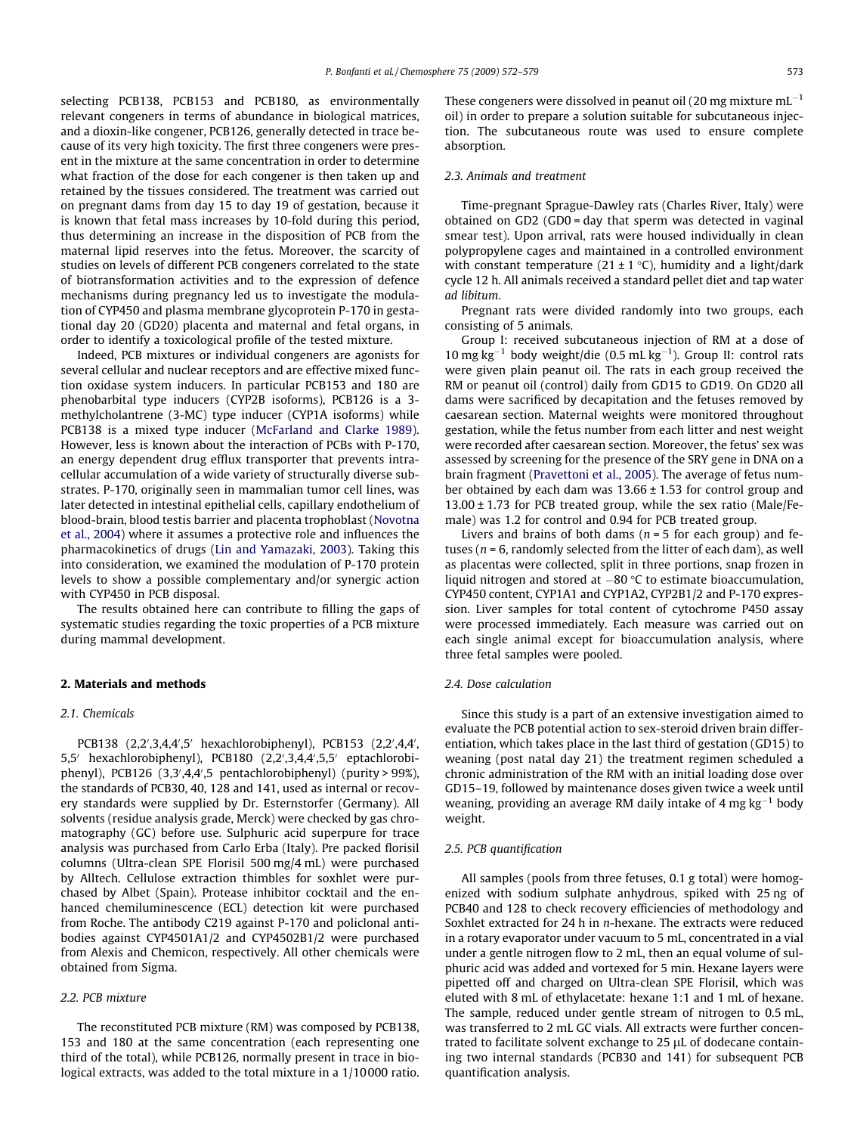selecting PCB138, PCB153 and PCB180, as environmentally relevant congeners in terms of abundance in biological matrices, and a dioxin-like congener, PCB126, generally detected in trace because of its very high toxicity. The first three congeners were present in the mixture at the same concentration in order to determine what fraction of the dose for each congener is then taken up and retained by the tissues considered. The treatment was carried out on pregnant dams from day 15 to day 19 of gestation, because it is known that fetal mass increases by 10-fold during this period, thus determining an increase in the disposition of PCB from the maternal lipid reserves into the fetus. Moreover, the scarcity of studies on levels of different PCB congeners correlated to the state of biotransformation activities and to the expression of defence mechanisms during pregnancy led us to investigate the modulation of CYP450 and plasma membrane glycoprotein P-170 in gestational day 20 (GD20) placenta and maternal and fetal organs, in order to identify a toxicological profile of the tested mixture.

Indeed, PCB mixtures or individual congeners are agonists for several cellular and nuclear receptors and are effective mixed function oxidase system inducers. In particular PCB153 and 180 are phenobarbital type inducers (CYP2B isoforms), PCB126 is a 3 methylcholantrene (3-MC) type inducer (CYP1A isoforms) while PCB138 is a mixed type inducer [\(McFarland and Clarke 1989\)](#page-7-0). However, less is known about the interaction of PCBs with P-170, an energy dependent drug efflux transporter that prevents intracellular accumulation of a wide variety of structurally diverse substrates. P-170, originally seen in mammalian tumor cell lines, was later detected in intestinal epithelial cells, capillary endothelium of blood-brain, blood testis barrier and placenta trophoblast ([Novotna](#page-7-0) [et al., 2004](#page-7-0)) where it assumes a protective role and influences the pharmacokinetics of drugs ([Lin and Yamazaki, 2003\)](#page-7-0). Taking this into consideration, we examined the modulation of P-170 protein levels to show a possible complementary and/or synergic action with CYP450 in PCB disposal.

The results obtained here can contribute to filling the gaps of systematic studies regarding the toxic properties of a PCB mixture during mammal development.

#### 2. Materials and methods

## 2.1. Chemicals

PCB138 (2,2',3,4,4',5' hexachlorobiphenyl), PCB153 (2,2',4,4', 5,5' hexachlorobiphenyl), PCB180 (2,2',3,4,4',5,5' eptachlorobiphenyl), PCB126 (3,3',4,4',5 pentachlorobiphenyl) (purity > 99%), the standards of PCB30, 40, 128 and 141, used as internal or recovery standards were supplied by Dr. Esternstorfer (Germany). All solvents (residue analysis grade, Merck) were checked by gas chromatography (GC) before use. Sulphuric acid superpure for trace analysis was purchased from Carlo Erba (Italy). Pre packed florisil columns (Ultra-clean SPE Florisil 500 mg/4 mL) were purchased by Alltech. Cellulose extraction thimbles for soxhlet were purchased by Albet (Spain). Protease inhibitor cocktail and the enhanced chemiluminescence (ECL) detection kit were purchased from Roche. The antibody C219 against P-170 and policlonal antibodies against CYP4501A1/2 and CYP4502B1/2 were purchased from Alexis and Chemicon, respectively. All other chemicals were obtained from Sigma.

## 2.2. PCB mixture

The reconstituted PCB mixture (RM) was composed by PCB138, 153 and 180 at the same concentration (each representing one third of the total), while PCB126, normally present in trace in biological extracts, was added to the total mixture in a 1/10 000 ratio.

These congeners were dissolved in peanut oil (20 mg mixture mL $^{\rm -1}$ oil) in order to prepare a solution suitable for subcutaneous injection. The subcutaneous route was used to ensure complete absorption.

## 2.3. Animals and treatment

Time-pregnant Sprague-Dawley rats (Charles River, Italy) were obtained on GD2 (GD0 = day that sperm was detected in vaginal smear test). Upon arrival, rats were housed individually in clean polypropylene cages and maintained in a controlled environment with constant temperature (21  $\pm$  1 °C), humidity and a light/dark cycle 12 h. All animals received a standard pellet diet and tap water ad libitum.

Pregnant rats were divided randomly into two groups, each consisting of 5 animals.

Group I: received subcutaneous injection of RM at a dose of 10 mg kg<sup>-1</sup> body weight/die (0.5 mL kg<sup>-1</sup>). Group II: control rats were given plain peanut oil. The rats in each group received the RM or peanut oil (control) daily from GD15 to GD19. On GD20 all dams were sacrificed by decapitation and the fetuses removed by caesarean section. Maternal weights were monitored throughout gestation, while the fetus number from each litter and nest weight were recorded after caesarean section. Moreover, the fetus' sex was assessed by screening for the presence of the SRY gene in DNA on a brain fragment ([Pravettoni et al., 2005](#page-7-0)). The average of fetus number obtained by each dam was 13.66 ± 1.53 for control group and  $13.00 \pm 1.73$  for PCB treated group, while the sex ratio (Male/Female) was 1.2 for control and 0.94 for PCB treated group.

Livers and brains of both dams ( $n = 5$  for each group) and fetuses ( $n = 6$ , randomly selected from the litter of each dam), as well as placentas were collected, split in three portions, snap frozen in liquid nitrogen and stored at  $-80$  °C to estimate bioaccumulation, CYP450 content, CYP1A1 and CYP1A2, CYP2B1/2 and P-170 expression. Liver samples for total content of cytochrome P450 assay were processed immediately. Each measure was carried out on each single animal except for bioaccumulation analysis, where three fetal samples were pooled.

#### 2.4. Dose calculation

Since this study is a part of an extensive investigation aimed to evaluate the PCB potential action to sex-steroid driven brain differentiation, which takes place in the last third of gestation (GD15) to weaning (post natal day 21) the treatment regimen scheduled a chronic administration of the RM with an initial loading dose over GD15–19, followed by maintenance doses given twice a week until weaning, providing an average RM daily intake of 4 mg  $kg^{-1}$  body weight.

#### 2.5. PCB quantification

All samples (pools from three fetuses, 0.1 g total) were homogenized with sodium sulphate anhydrous, spiked with 25 ng of PCB40 and 128 to check recovery efficiencies of methodology and Soxhlet extracted for 24 h in n-hexane. The extracts were reduced in a rotary evaporator under vacuum to 5 mL, concentrated in a vial under a gentle nitrogen flow to 2 mL, then an equal volume of sulphuric acid was added and vortexed for 5 min. Hexane layers were pipetted off and charged on Ultra-clean SPE Florisil, which was eluted with 8 mL of ethylacetate: hexane 1:1 and 1 mL of hexane. The sample, reduced under gentle stream of nitrogen to 0.5 mL, was transferred to 2 mL GC vials. All extracts were further concentrated to facilitate solvent exchange to  $25 \mu L$  of dodecane containing two internal standards (PCB30 and 141) for subsequent PCB quantification analysis.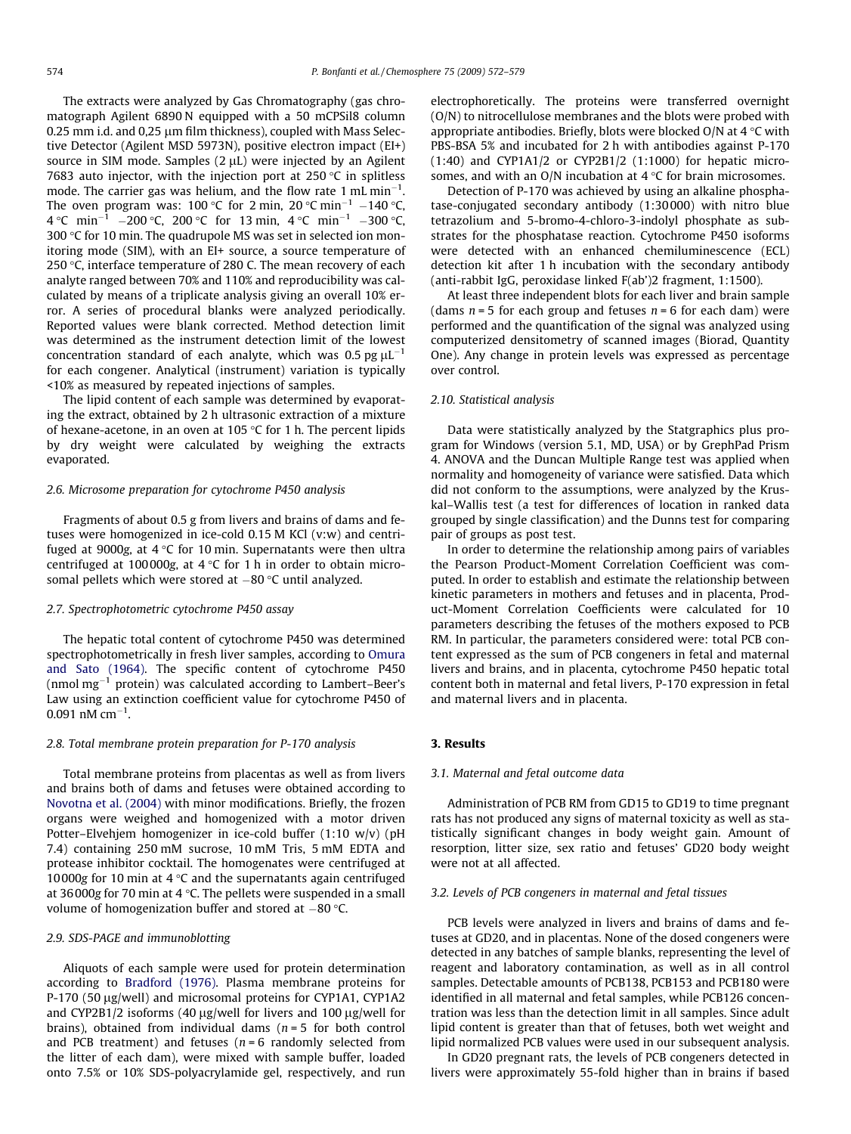The extracts were analyzed by Gas Chromatography (gas chromatograph Agilent 6890 N equipped with a 50 mCPSil8 column 0.25 mm i.d. and 0.25 um film thickness), coupled with Mass Selective Detector (Agilent MSD 5973N), positive electron impact (EI+) source in SIM mode. Samples  $(2 \mu L)$  were injected by an Agilent 7683 auto injector, with the injection port at  $250 \degree C$  in splitless mode. The carrier gas was helium, and the flow rate 1 mL min<sup>-1</sup>. The oven program was: 100 °C for 2 min, 20 °C min<sup>-1</sup> –140 °C, 4 °C min<sup>-1</sup> -200 °C, 200 °C for 13 min, 4 °C min<sup>-1</sup> -300 °C, 300  $\degree$ C for 10 min. The quadrupole MS was set in selected ion monitoring mode (SIM), with an EI+ source, a source temperature of 250  $\degree$ C, interface temperature of 280 C. The mean recovery of each analyte ranged between 70% and 110% and reproducibility was calculated by means of a triplicate analysis giving an overall 10% error. A series of procedural blanks were analyzed periodically. Reported values were blank corrected. Method detection limit was determined as the instrument detection limit of the lowest concentration standard of each analyte, which was 0.5 pg  $\mu$ L $^{-1}$ for each congener. Analytical (instrument) variation is typically <10% as measured by repeated injections of samples.

The lipid content of each sample was determined by evaporating the extract, obtained by 2 h ultrasonic extraction of a mixture of hexane-acetone, in an oven at 105  $\degree$ C for 1 h. The percent lipids by dry weight were calculated by weighing the extracts evaporated.

#### 2.6. Microsome preparation for cytochrome P450 analysis

Fragments of about 0.5 g from livers and brains of dams and fetuses were homogenized in ice-cold 0.15 M KCl (v:w) and centrifuged at 9000g, at  $4 \text{ }^{\circ}$ C for 10 min. Supernatants were then ultra centrifuged at 100000g, at  $4 °C$  for 1 h in order to obtain microsomal pellets which were stored at –80 °C until analyzed.

#### 2.7. Spectrophotometric cytochrome P450 assay

The hepatic total content of cytochrome P450 was determined spectrophotometrically in fresh liver samples, according to [Omura](#page-7-0) [and Sato \(1964\)](#page-7-0). The specific content of cytochrome P450 (nmol $\rm mg^{-1}$  protein) was calculated according to Lambert–Beer's Law using an extinction coefficient value for cytochrome P450 of  $0.091$  nM cm<sup>-1</sup>.

#### 2.8. Total membrane protein preparation for P-170 analysis

Total membrane proteins from placentas as well as from livers and brains both of dams and fetuses were obtained according to [Novotna et al. \(2004\)](#page-7-0) with minor modifications. Briefly, the frozen organs were weighed and homogenized with a motor driven Potter–Elvehjem homogenizer in ice-cold buffer (1:10 w/v) (pH 7.4) containing 250 mM sucrose, 10 mM Tris, 5 mM EDTA and protease inhibitor cocktail. The homogenates were centrifuged at 10000g for 10 min at 4  $\degree$ C and the supernatants again centrifuged at 36000g for 70 min at 4  $\degree$ C. The pellets were suspended in a small volume of homogenization buffer and stored at  $-80$  °C.

#### 2.9. SDS-PAGE and immunoblotting

Aliquots of each sample were used for protein determination according to [Bradford \(1976\).](#page-7-0) Plasma membrane proteins for P-170 (50 µg/well) and microsomal proteins for CYP1A1, CYP1A2 and CYP2B1/2 isoforms (40  $\mu$ g/well for livers and 100  $\mu$ g/well for brains), obtained from individual dams ( $n = 5$  for both control and PCB treatment) and fetuses ( $n = 6$  randomly selected from the litter of each dam), were mixed with sample buffer, loaded onto 7.5% or 10% SDS-polyacrylamide gel, respectively, and run

electrophoretically. The proteins were transferred overnight (O/N) to nitrocellulose membranes and the blots were probed with appropriate antibodies. Briefly, blots were blocked O/N at  $4^{\circ}$ C with PBS-BSA 5% and incubated for 2 h with antibodies against P-170 (1:40) and CYP1A1/2 or CYP2B1/2 (1:1000) for hepatic microsomes, and with an O/N incubation at  $4^{\circ}$ C for brain microsomes.

Detection of P-170 was achieved by using an alkaline phosphatase-conjugated secondary antibody (1:30 000) with nitro blue tetrazolium and 5-bromo-4-chloro-3-indolyl phosphate as substrates for the phosphatase reaction. Cytochrome P450 isoforms were detected with an enhanced chemiluminescence (ECL) detection kit after 1 h incubation with the secondary antibody (anti-rabbit IgG, peroxidase linked F(ab')2 fragment, 1:1500).

At least three independent blots for each liver and brain sample (dams  $n = 5$  for each group and fetuses  $n = 6$  for each dam) were performed and the quantification of the signal was analyzed using computerized densitometry of scanned images (Biorad, Quantity One). Any change in protein levels was expressed as percentage over control.

## 2.10. Statistical analysis

Data were statistically analyzed by the Statgraphics plus program for Windows (version 5.1, MD, USA) or by GrephPad Prism 4. ANOVA and the Duncan Multiple Range test was applied when normality and homogeneity of variance were satisfied. Data which did not conform to the assumptions, were analyzed by the Kruskal–Wallis test (a test for differences of location in ranked data grouped by single classification) and the Dunns test for comparing pair of groups as post test.

In order to determine the relationship among pairs of variables the Pearson Product-Moment Correlation Coefficient was computed. In order to establish and estimate the relationship between kinetic parameters in mothers and fetuses and in placenta, Product-Moment Correlation Coefficients were calculated for 10 parameters describing the fetuses of the mothers exposed to PCB RM. In particular, the parameters considered were: total PCB content expressed as the sum of PCB congeners in fetal and maternal livers and brains, and in placenta, cytochrome P450 hepatic total content both in maternal and fetal livers, P-170 expression in fetal and maternal livers and in placenta.

#### 3. Results

#### 3.1. Maternal and fetal outcome data

Administration of PCB RM from GD15 to GD19 to time pregnant rats has not produced any signs of maternal toxicity as well as statistically significant changes in body weight gain. Amount of resorption, litter size, sex ratio and fetuses' GD20 body weight were not at all affected.

#### 3.2. Levels of PCB congeners in maternal and fetal tissues

PCB levels were analyzed in livers and brains of dams and fetuses at GD20, and in placentas. None of the dosed congeners were detected in any batches of sample blanks, representing the level of reagent and laboratory contamination, as well as in all control samples. Detectable amounts of PCB138, PCB153 and PCB180 were identified in all maternal and fetal samples, while PCB126 concentration was less than the detection limit in all samples. Since adult lipid content is greater than that of fetuses, both wet weight and lipid normalized PCB values were used in our subsequent analysis.

In GD20 pregnant rats, the levels of PCB congeners detected in livers were approximately 55-fold higher than in brains if based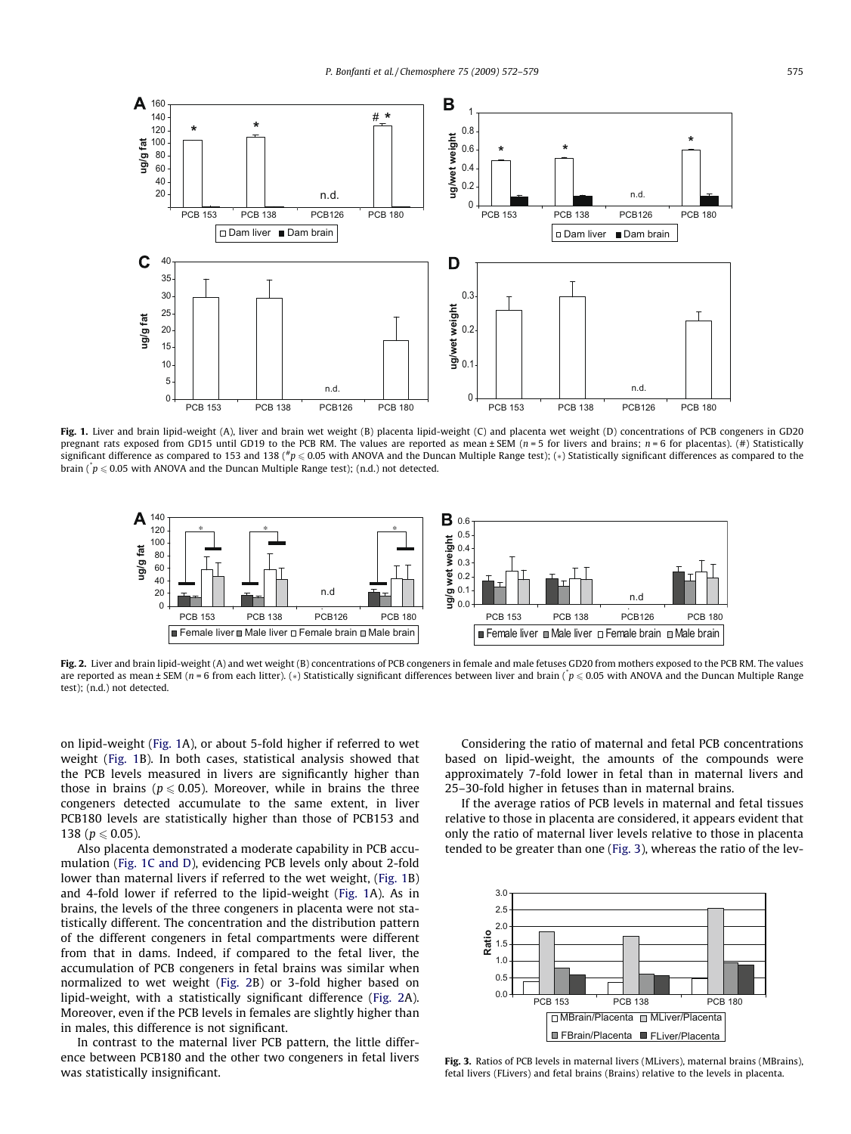

Fig. 1. Liver and brain lipid-weight (A), liver and brain wet weight (B) placenta lipid-weight (C) and placenta wet weight (D) concentrations of PCB congeners in GD20 pregnant rats exposed from GD15 until GD19 to the PCB RM. The values are reported as mean  $\pm$  SEM ( $n = 5$  for livers and brains;  $n = 6$  for placentas). (#) Statistically significant difference as compared to 153 and 138 ( $\#p \leq 0.05$  with ANOVA and the Duncan Multiple Range test); (\*) Statistically significant differences as compared to the brain ( $\dot{p} \leqslant 0.05$  with ANOVA and the Duncan Multiple Range test); (n.d.) not detected.



Fig. 2. Liver and brain lipid-weight (A) and wet weight (B) concentrations of PCB congeners in female and male fetuses GD20 from mothers exposed to the PCB RM. The values are reported as mean ± SEM (n = 6 from each litter). (\*) Statistically significant differences between liver and brain (\* $p \leqslant 0.05$  with ANOVA and the Duncan Multiple Range test); (n.d.) not detected.

on lipid-weight (Fig. 1A), or about 5-fold higher if referred to wet weight (Fig. 1B). In both cases, statistical analysis showed that the PCB levels measured in livers are significantly higher than those in brains ( $p \le 0.05$ ). Moreover, while in brains the three congeners detected accumulate to the same extent, in liver PCB180 levels are statistically higher than those of PCB153 and 138 ( $p \le 0.05$ ).

Also placenta demonstrated a moderate capability in PCB accumulation (Fig. 1C and D), evidencing PCB levels only about 2-fold lower than maternal livers if referred to the wet weight, (Fig. 1B) and 4-fold lower if referred to the lipid-weight (Fig. 1A). As in brains, the levels of the three congeners in placenta were not statistically different. The concentration and the distribution pattern of the different congeners in fetal compartments were different from that in dams. Indeed, if compared to the fetal liver, the accumulation of PCB congeners in fetal brains was similar when normalized to wet weight (Fig. 2B) or 3-fold higher based on lipid-weight, with a statistically significant difference (Fig. 2A). Moreover, even if the PCB levels in females are slightly higher than in males, this difference is not significant.

In contrast to the maternal liver PCB pattern, the little difference between PCB180 and the other two congeners in fetal livers was statistically insignificant.

Considering the ratio of maternal and fetal PCB concentrations based on lipid-weight, the amounts of the compounds were approximately 7-fold lower in fetal than in maternal livers and 25–30-fold higher in fetuses than in maternal brains.

If the average ratios of PCB levels in maternal and fetal tissues relative to those in placenta are considered, it appears evident that only the ratio of maternal liver levels relative to those in placenta tended to be greater than one (Fig. 3), whereas the ratio of the lev-



Fig. 3. Ratios of PCB levels in maternal livers (MLivers), maternal brains (MBrains), fetal livers (FLivers) and fetal brains (Brains) relative to the levels in placenta.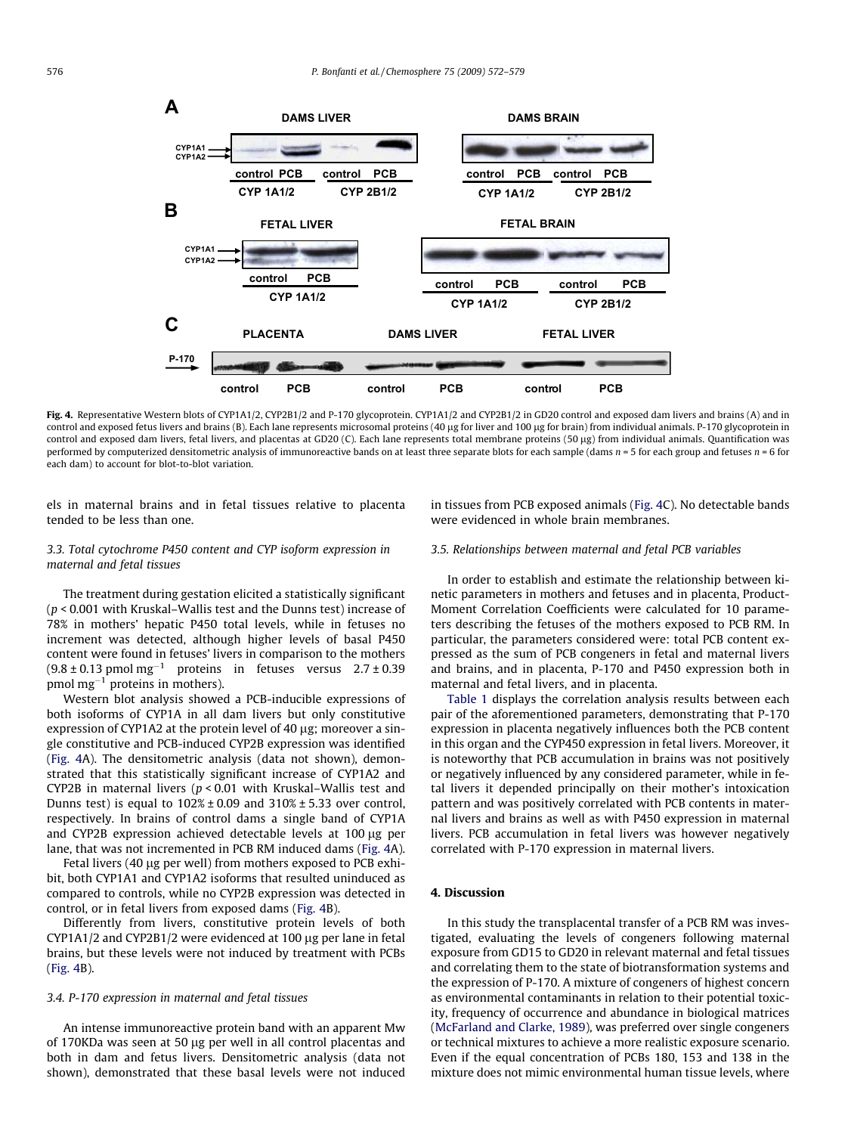

Fig. 4. Representative Western blots of CYP1A1/2, CYP2B1/2 and P-170 glycoprotein. CYP1A1/2 and CYP2B1/2 in GD20 control and exposed dam livers and brains (A) and in control and exposed fetus livers and brains (B). Each lane represents microsomal proteins (40 µg for liver and 100 µg for brain) from individual animals. P-170 glycoprotein in control and exposed dam livers, fetal livers, and placentas at GD20 (C). Each lane represents total membrane proteins (50 lg) from individual animals. Quantification was performed by computerized densitometric analysis of immunoreactive bands on at least three separate blots for each sample (dams  $n = 5$  for each group and fetuses  $n = 6$  for each dam) to account for blot-to-blot variation.

els in maternal brains and in fetal tissues relative to placenta tended to be less than one.

## 3.3. Total cytochrome P450 content and CYP isoform expression in maternal and fetal tissues

The treatment during gestation elicited a statistically significant ( $p$  < 0.001 with Kruskal–Wallis test and the Dunns test) increase of 78% in mothers' hepatic P450 total levels, while in fetuses no increment was detected, although higher levels of basal P450 content were found in fetuses' livers in comparison to the mothers  $(9.8 \pm 0.13 \text{ pmol mg}^{-1}$  proteins in fetuses versus  $2.7 \pm 0.39$ pmol mg $^{-1}$  proteins in mothers).

Western blot analysis showed a PCB-inducible expressions of both isoforms of CYP1A in all dam livers but only constitutive expression of CYP1A2 at the protein level of 40  $\mu$ g; moreover a single constitutive and PCB-induced CYP2B expression was identified (Fig. 4A). The densitometric analysis (data not shown), demonstrated that this statistically significant increase of CYP1A2 and CYP2B in maternal livers ( $p < 0.01$  with Kruskal–Wallis test and Dunns test) is equal to  $102\% \pm 0.09$  and  $310\% \pm 5.33$  over control, respectively. In brains of control dams a single band of CYP1A and CYP2B expression achieved detectable levels at  $100 \mu g$  per lane, that was not incremented in PCB RM induced dams (Fig. 4A).

Fetal livers (40 µg per well) from mothers exposed to PCB exhibit, both CYP1A1 and CYP1A2 isoforms that resulted uninduced as compared to controls, while no CYP2B expression was detected in control, or in fetal livers from exposed dams (Fig. 4B).

Differently from livers, constitutive protein levels of both  $CYP1A1/2$  and  $CYP2B1/2$  were evidenced at 100  $\mu$ g per lane in fetal brains, but these levels were not induced by treatment with PCBs (Fig. 4B).

## 3.4. P-170 expression in maternal and fetal tissues

An intense immunoreactive protein band with an apparent Mw of 170KDa was seen at 50 µg per well in all control placentas and both in dam and fetus livers. Densitometric analysis (data not shown), demonstrated that these basal levels were not induced in tissues from PCB exposed animals (Fig. 4C). No detectable bands were evidenced in whole brain membranes.

## 3.5. Relationships between maternal and fetal PCB variables

In order to establish and estimate the relationship between kinetic parameters in mothers and fetuses and in placenta, Product-Moment Correlation Coefficients were calculated for 10 parameters describing the fetuses of the mothers exposed to PCB RM. In particular, the parameters considered were: total PCB content expressed as the sum of PCB congeners in fetal and maternal livers and brains, and in placenta, P-170 and P450 expression both in maternal and fetal livers, and in placenta.

[Table 1](#page-5-0) displays the correlation analysis results between each pair of the aforementioned parameters, demonstrating that P-170 expression in placenta negatively influences both the PCB content in this organ and the CYP450 expression in fetal livers. Moreover, it is noteworthy that PCB accumulation in brains was not positively or negatively influenced by any considered parameter, while in fetal livers it depended principally on their mother's intoxication pattern and was positively correlated with PCB contents in maternal livers and brains as well as with P450 expression in maternal livers. PCB accumulation in fetal livers was however negatively correlated with P-170 expression in maternal livers.

## 4. Discussion

In this study the transplacental transfer of a PCB RM was investigated, evaluating the levels of congeners following maternal exposure from GD15 to GD20 in relevant maternal and fetal tissues and correlating them to the state of biotransformation systems and the expression of P-170. A mixture of congeners of highest concern as environmental contaminants in relation to their potential toxicity, frequency of occurrence and abundance in biological matrices ([McFarland and Clarke, 1989\)](#page-7-0), was preferred over single congeners or technical mixtures to achieve a more realistic exposure scenario. Even if the equal concentration of PCBs 180, 153 and 138 in the mixture does not mimic environmental human tissue levels, where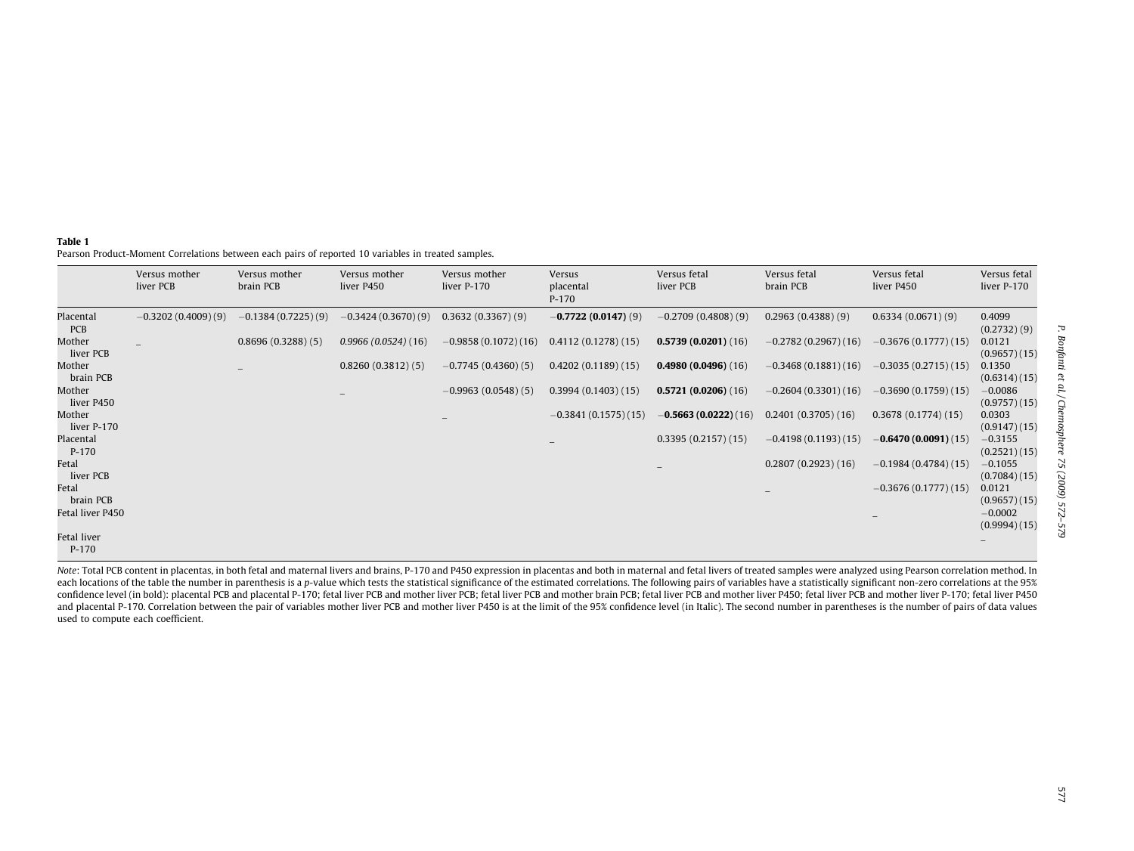#### <span id="page-5-0"></span>Table 1

Pearson Product-Moment Correlations between each pairs of reported 10 variables in treated samples.

|                         | Versus mother<br>liver PCB | Versus mother<br>brain PCB | Versus mother<br>liver P450 | Versus mother<br>liver P-170 | Versus<br>placental<br>$P-170$ | Versus fetal<br>liver PCB | Versus fetal<br>brain PCB | Versus fetal<br>liver P450 | Versus fetal<br>liver P-170 |
|-------------------------|----------------------------|----------------------------|-----------------------------|------------------------------|--------------------------------|---------------------------|---------------------------|----------------------------|-----------------------------|
| Placental<br><b>PCB</b> | $-0.3202(0.4009)(9)$       | $-0.1384(0.7225)(9)$       | $-0.3424(0.3670)(9)$        | 0.3632(0.3367)(9)            | $-0.7722(0.0147)(9)$           | $-0.2709(0.4808)(9)$      | 0.2963(0.4388)(9)         | 0.6334(0.0671)(9)          | 0.4099<br>(0.2732)(9)       |
| Mother<br>liver PCB     |                            | 0.8696(0.3288)(5)          | 0.9966(0.0524)(16)          | $-0.9858(0.1072)(16)$        | 0.4112(0.1278)(15)             | 0.5739(0.0201)(16)        | $-0.2782(0.2967)(16)$     | $-0.3676(0.1777)(15)$      | 0.0121<br>(0.9657)(15)      |
| Mother<br>brain PCB     |                            | -                          | 0.8260(0.3812)(5)           | $-0.7745(0.4360)(5)$         | 0.4202(0.1189)(15)             | 0.4980(0.0496)(16)        | $-0.3468(0.1881)(16)$     | $-0.3035(0.2715)(15)$      | 0.1350<br>(0.6314)(15)      |
| Mother<br>liver P450    |                            |                            |                             | $-0.9963(0.0548)(5)$         | 0.3994(0.1403)(15)             | 0.5721(0.0206)(16)        | $-0.2604(0.3301)(16)$     | $-0.3690(0.1759)(15)$      | $-0.0086$<br>(0.9757)(15)   |
| Mother<br>liver P-170   |                            |                            |                             |                              | $-0.3841(0.1575)(15)$          | $-0.5663(0.0222)(16)$     | 0.2401(0.3705)(16)        | 0.3678(0.1774)(15)         | 0.0303<br>(0.9147)(15)      |
| Placental<br>$P-170$    |                            |                            |                             |                              |                                | 0.3395(0.2157)(15)        | $-0.4198(0.1193)(15)$     | $-0.6470(0.0091)(15)$      | $-0.3155$<br>(0.2521)(15)   |
| Fetal<br>liver PCB      |                            |                            |                             |                              |                                |                           | 0.2807(0.2923)(16)        | $-0.1984(0.4784)(15)$      | $-0.1055$<br>(0.7084)(15)   |
| Fetal<br>brain PCB      |                            |                            |                             |                              |                                |                           |                           | $-0.3676(0.1777)(15)$      | 0.0121<br>(0.9657)(15)      |
| Fetal liver P450        |                            |                            |                             |                              |                                |                           |                           |                            | $-0.0002$<br>(0.9994)(15)   |
| Fetal liver<br>$P-170$  |                            |                            |                             |                              |                                |                           |                           |                            |                             |

Note: Total PCB content in placentas, in both fetal and maternal livers and brains, P-170 and P450 expression in placentas and both in maternal and fetal livers of treated samples were analyzed using Pearson correlation me each locations of the table the number in parenthesis is a p-value which tests the statistical significance of the estimated correlations. The following pairs of variables have a statistically significant non-zero correlat confidence level (in bold): placental PCB and placental P-170; fetal liver PCB and mother liver PCB; fetal liver PCB; fetal liver PCB and mother brain PCB; fetal liver brain PCB; fetal liver PCB; fetal liver brain PCB and and placental P-170. Correlation between the pair of variables mother liver PCB and mother liver P450 is at the limit of the 95% confidence level (in Italic). The second number in parentheses is the number of pairs of data used to compute each coefficient.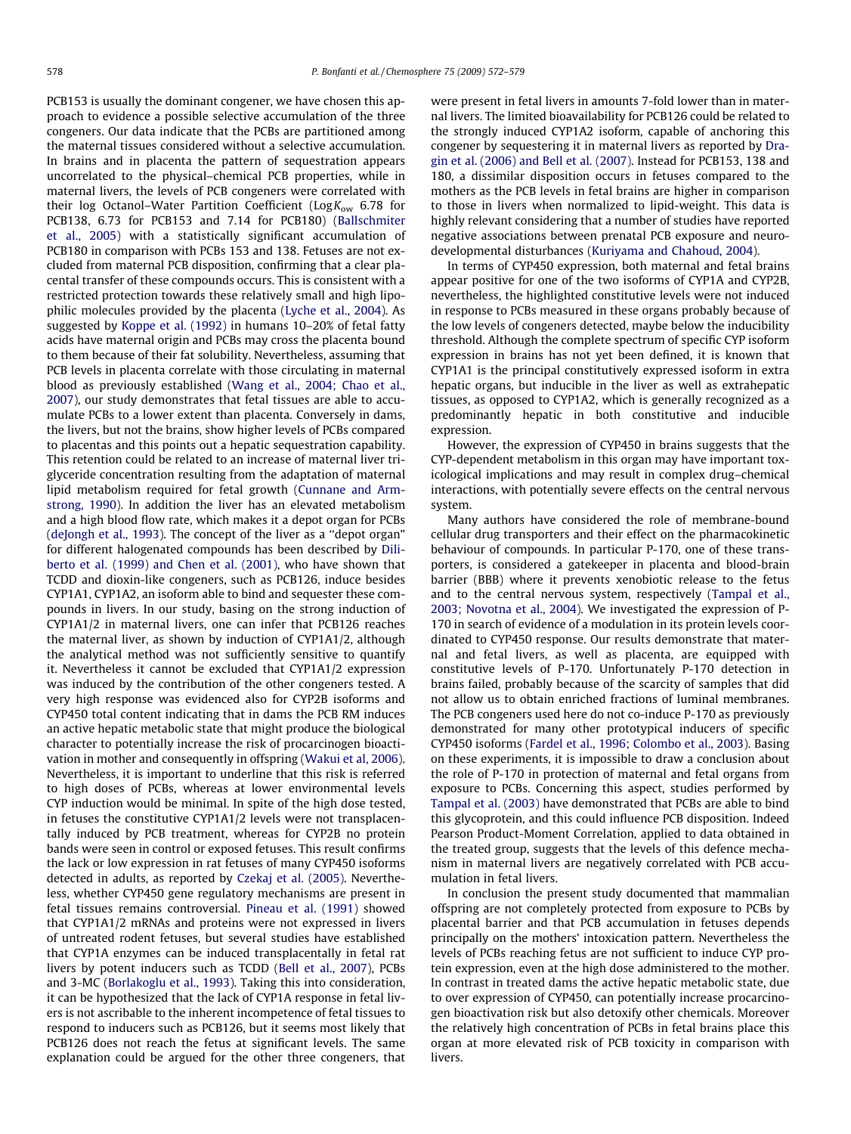PCB153 is usually the dominant congener, we have chosen this approach to evidence a possible selective accumulation of the three congeners. Our data indicate that the PCBs are partitioned among the maternal tissues considered without a selective accumulation. In brains and in placenta the pattern of sequestration appears uncorrelated to the physical–chemical PCB properties, while in maternal livers, the levels of PCB congeners were correlated with their log Octanol–Water Partition Coefficient ( $Log K_{ow}$  6.78 for PCB138, 6.73 for PCB153 and 7.14 for PCB180) [\(Ballschmiter](#page-7-0) [et al., 2005\)](#page-7-0) with a statistically significant accumulation of PCB180 in comparison with PCBs 153 and 138. Fetuses are not excluded from maternal PCB disposition, confirming that a clear placental transfer of these compounds occurs. This is consistent with a restricted protection towards these relatively small and high lipophilic molecules provided by the placenta ([Lyche et al., 2004\)](#page-7-0). As suggested by [Koppe et al. \(1992\)](#page-7-0) in humans 10–20% of fetal fatty acids have maternal origin and PCBs may cross the placenta bound to them because of their fat solubility. Nevertheless, assuming that PCB levels in placenta correlate with those circulating in maternal blood as previously established [\(Wang et al., 2004; Chao et al.,](#page-7-0) [2007\)](#page-7-0), our study demonstrates that fetal tissues are able to accumulate PCBs to a lower extent than placenta. Conversely in dams, the livers, but not the brains, show higher levels of PCBs compared to placentas and this points out a hepatic sequestration capability. This retention could be related to an increase of maternal liver triglyceride concentration resulting from the adaptation of maternal lipid metabolism required for fetal growth ([Cunnane and Arm](#page-7-0)[strong, 1990](#page-7-0)). In addition the liver has an elevated metabolism and a high blood flow rate, which makes it a depot organ for PCBs ([deJongh et al., 1993\)](#page-7-0). The concept of the liver as a ''depot organ" for different halogenated compounds has been described by [Dili](#page-7-0)[berto et al. \(1999\) and Chen et al. \(2001\)](#page-7-0), who have shown that TCDD and dioxin-like congeners, such as PCB126, induce besides CYP1A1, CYP1A2, an isoform able to bind and sequester these compounds in livers. In our study, basing on the strong induction of CYP1A1/2 in maternal livers, one can infer that PCB126 reaches the maternal liver, as shown by induction of CYP1A1/2, although the analytical method was not sufficiently sensitive to quantify it. Nevertheless it cannot be excluded that CYP1A1/2 expression was induced by the contribution of the other congeners tested. A very high response was evidenced also for CYP2B isoforms and CYP450 total content indicating that in dams the PCB RM induces an active hepatic metabolic state that might produce the biological character to potentially increase the risk of procarcinogen bioactivation in mother and consequently in offspring ([Wakui et al, 2006\)](#page-7-0). Nevertheless, it is important to underline that this risk is referred to high doses of PCBs, whereas at lower environmental levels CYP induction would be minimal. In spite of the high dose tested, in fetuses the constitutive CYP1A1/2 levels were not transplacentally induced by PCB treatment, whereas for CYP2B no protein bands were seen in control or exposed fetuses. This result confirms the lack or low expression in rat fetuses of many CYP450 isoforms detected in adults, as reported by [Czekaj et al. \(2005\).](#page-7-0) Nevertheless, whether CYP450 gene regulatory mechanisms are present in fetal tissues remains controversial. [Pineau et al. \(1991\)](#page-7-0) showed that CYP1A1/2 mRNAs and proteins were not expressed in livers of untreated rodent fetuses, but several studies have established that CYP1A enzymes can be induced transplacentally in fetal rat livers by potent inducers such as TCDD [\(Bell et al., 2007](#page-7-0)), PCBs and 3-MC ([Borlakoglu et al., 1993\)](#page-7-0). Taking this into consideration, it can be hypothesized that the lack of CYP1A response in fetal livers is not ascribable to the inherent incompetence of fetal tissues to respond to inducers such as PCB126, but it seems most likely that PCB126 does not reach the fetus at significant levels. The same explanation could be argued for the other three congeners, that were present in fetal livers in amounts 7-fold lower than in maternal livers. The limited bioavailability for PCB126 could be related to the strongly induced CYP1A2 isoform, capable of anchoring this congener by sequestering it in maternal livers as reported by [Dra](#page-7-0)[gin et al. \(2006\) and Bell et al. \(2007\).](#page-7-0) Instead for PCB153, 138 and 180, a dissimilar disposition occurs in fetuses compared to the mothers as the PCB levels in fetal brains are higher in comparison to those in livers when normalized to lipid-weight. This data is highly relevant considering that a number of studies have reported negative associations between prenatal PCB exposure and neurodevelopmental disturbances [\(Kuriyama and Chahoud, 2004](#page-7-0)).

In terms of CYP450 expression, both maternal and fetal brains appear positive for one of the two isoforms of CYP1A and CYP2B, nevertheless, the highlighted constitutive levels were not induced in response to PCBs measured in these organs probably because of the low levels of congeners detected, maybe below the inducibility threshold. Although the complete spectrum of specific CYP isoform expression in brains has not yet been defined, it is known that CYP1A1 is the principal constitutively expressed isoform in extra hepatic organs, but inducible in the liver as well as extrahepatic tissues, as opposed to CYP1A2, which is generally recognized as a predominantly hepatic in both constitutive and inducible expression.

However, the expression of CYP450 in brains suggests that the CYP-dependent metabolism in this organ may have important toxicological implications and may result in complex drug–chemical interactions, with potentially severe effects on the central nervous system.

Many authors have considered the role of membrane-bound cellular drug transporters and their effect on the pharmacokinetic behaviour of compounds. In particular P-170, one of these transporters, is considered a gatekeeper in placenta and blood-brain barrier (BBB) where it prevents xenobiotic release to the fetus and to the central nervous system, respectively ([Tampal et al.,](#page-7-0) [2003; Novotna et al., 2004\)](#page-7-0). We investigated the expression of P-170 in search of evidence of a modulation in its protein levels coordinated to CYP450 response. Our results demonstrate that maternal and fetal livers, as well as placenta, are equipped with constitutive levels of P-170. Unfortunately P-170 detection in brains failed, probably because of the scarcity of samples that did not allow us to obtain enriched fractions of luminal membranes. The PCB congeners used here do not co-induce P-170 as previously demonstrated for many other prototypical inducers of specific CYP450 isoforms ([Fardel et al., 1996; Colombo et al., 2003\)](#page-7-0). Basing on these experiments, it is impossible to draw a conclusion about the role of P-170 in protection of maternal and fetal organs from exposure to PCBs. Concerning this aspect, studies performed by [Tampal et al. \(2003\)](#page-7-0) have demonstrated that PCBs are able to bind this glycoprotein, and this could influence PCB disposition. Indeed Pearson Product-Moment Correlation, applied to data obtained in the treated group, suggests that the levels of this defence mechanism in maternal livers are negatively correlated with PCB accumulation in fetal livers.

In conclusion the present study documented that mammalian offspring are not completely protected from exposure to PCBs by placental barrier and that PCB accumulation in fetuses depends principally on the mothers' intoxication pattern. Nevertheless the levels of PCBs reaching fetus are not sufficient to induce CYP protein expression, even at the high dose administered to the mother. In contrast in treated dams the active hepatic metabolic state, due to over expression of CYP450, can potentially increase procarcinogen bioactivation risk but also detoxify other chemicals. Moreover the relatively high concentration of PCBs in fetal brains place this organ at more elevated risk of PCB toxicity in comparison with livers.